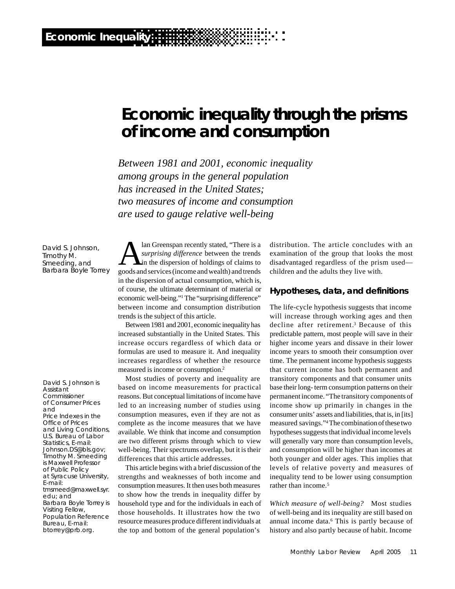# **Economic inequality through the prisms of income and consumption**

*Between 1981 and 2001, economic inequality among groups in the general population has increased in the United States; two measures of income and consumption are used to gauge relative well-being*

David S. Johnson, Timothy M. Smeeding, and Barbara Boyle Torrey

David S. Johnson is Assistant Commissioner of Consumer Prices and Price Indexes in the Office of Prices and Living Conditions, U.S. Bureau of Labor Statistics, E-mail: Johnson.DS@bls.gov; Timothy M. Smeeding is Maxwell Professor of Public Policy at Syracuse University, E-mail: tmsmeed@maxwell.syr. edu; and Barbara Boyle Torrey is Visiting Fellow, Population Reference Bureau, E-mail: btorrey@prb.org.

A lan Greenspan recently stated, "There is a *surprising difference* between the trends in the dispersion of holdings of claims to goods and services (income and wealth) and trends lan Greenspan recently stated, "There is a *surprising difference* between the trends in the dispersion of holdings of claims to in the dispersion of actual consumption, which is, of course, the ultimate determinant of material or economic well-being."<sup>1</sup> The "surprising difference" between income and consumption distribution trends is the subject of this article.

Between 1981 and 2001, economic inequality has increased substantially in the United States. This increase occurs regardless of which data or formulas are used to measure it. And inequality increases regardless of whether the resource measured is income or consumption.<sup>2</sup>

Most studies of poverty and inequality are based on income measurements for practical reasons. But conceptual limitations of income have led to an increasing number of studies using consumption measures, even if they are not as complete as the income measures that we have available. We think that income and consumption are two different prisms through which to view well-being. Their spectrums overlap, but it is their differences that this article addresses.

This article begins with a brief discussion of the strengths and weaknesses of both income and consumption measures. It then uses both measures to show how the trends in inequality differ by household type and for the individuals in each of those households. It illustrates how the two resource measures produce different individuals at the top and bottom of the general population's

distribution. The article concludes with an examination of the group that looks the most disadvantaged regardless of the prism used children and the adults they live with.

### **Hypotheses, data, and definitions**

The life-cycle hypothesis suggests that income will increase through working ages and then decline after retirement.3 Because of this predictable pattern, most people will save in their higher income years and dissave in their lower income years to smooth their consumption over time. The permanent income hypothesis suggests that current income has both permanent and transitory components and that consumer units base their long- term consumption patterns on their permanent income. "The transitory components of income show up primarily in changes in the consumer units' assets and liabilities, that is, in [its] measured savings."<sup>4</sup> The combination of these two hypotheses suggests that individual income levels will generally vary more than consumption levels, and consumption will be higher than incomes at both younger and older ages. This implies that levels of relative poverty and measures of inequality tend to be lower using consumption rather than income.<sup>5</sup>

*Which measure of well-being?* Most studies of well-being and its inequality are still based on annual income data.<sup>6</sup> This is partly because of history and also partly because of habit. Income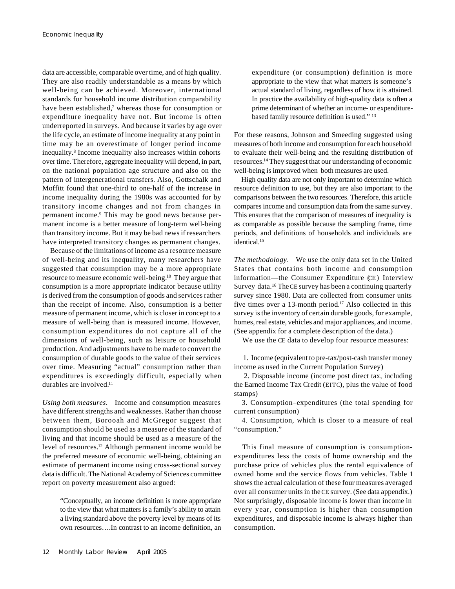data are accessible, comparable over time, and of high quality. They are also readily understandable as a means by which well-being can be achieved. Moreover, international standards for household income distribution comparability have been established,<sup>7</sup> whereas those for consumption or expenditure inequality have not. But income is often underreported in surveys. And because it varies by age over the life cycle, an estimate of income inequality at any point in time may be an overestimate of longer period income inequality.<sup>8</sup> Income inequality also increases within cohorts over time. Therefore, aggregate inequality will depend, in part, on the national population age structure and also on the pattern of intergenerational transfers. Also, Gottschalk and Moffitt found that one-third to one-half of the increase in income inequality during the 1980s was accounted for by transitory income changes and not from changes in permanent income.<sup>9</sup> This may be good news because permanent income is a better measure of long-term well-being than transitory income. But it may be bad news if researchers have interpreted transitory changes as permanent changes.

Because of the limitations of income as a resource measure of well-being and its inequality, many researchers have suggested that consumption may be a more appropriate resource to measure economic well-being.<sup>10</sup> They argue that consumption is a more appropriate indicator because utility is derived from the consumption of goods and services rather than the receipt of income. Also, consumption is a better measure of permanent income, which is closer in concept to a measure of well-being than is measured income. However, consumption expenditures do not capture all of the dimensions of well-being, such as leisure or household production. And adjustments have to be made to convert the consumption of durable goods to the value of their services over time. Measuring "actual" consumption rather than expenditures is exceedingly difficult, especially when durables are involved.<sup>11</sup>

*Using both measures*. Income and consumption measures have different strengths and weaknesses. Rather than choose between them, Borooah and McGregor suggest that consumption should be used as a measure of the standard of living and that income should be used as a measure of the level of resources.12 Although permanent income would be the preferred measure of economic well-being, obtaining an estimate of permanent income using cross-sectional survey data is difficult. The National Academy of Sciences committee report on poverty measurement also argued:

"Conceptually, an income definition is more appropriate to the view that what matters is a family's ability to attain a living standard above the poverty level by means of its own resources….In contrast to an income definition, an

expenditure (or consumption) definition is more appropriate to the view that what matters is someone's actual standard of living, regardless of how it is attained. In practice the availability of high-quality data is often a prime determinant of whether an income- or expenditurebased family resource definition is used." <sup>13</sup>

For these reasons, Johnson and Smeeding suggested using measures of both income and consumption for each household to evaluate their well-being and the resulting distribution of resources.14 They suggest that our understanding of economic well-being is improved when both measures are used.

High quality data are not only important to determine which resource definition to use, but they are also important to the comparisons between the two resources. Therefore, this article compares income and consumption data from the same survey. This ensures that the comparison of measures of inequality is as comparable as possible because the sampling frame, time periods, and definitions of households and individuals are identical.<sup>15</sup>

*The methodology*. We use the only data set in the United States that contains both income and consumption information—the Consumer Expenditure (CE) Interview Survey data.16 The CE survey has been a continuing quarterly survey since 1980. Data are collected from consumer units five times over a 13-month period.<sup>17</sup> Also collected in this survey is the inventory of certain durable goods, for example, homes, real estate, vehicles and major appliances, and income. (See appendix for a complete description of the data.)

We use the CE data to develop four resource measures:

 1. Income (equivalent to pre-tax/post-cash transfer money income as used in the Current Population Survey)

 2. Disposable income (income post direct tax, including the Earned Income Tax Credit (EITC), plus the value of food stamps)

3. Consumption–expenditures (the total spending for current consumption)

4. Consumption, which is closer to a measure of real "consumption."

This final measure of consumption is consumptionexpenditures less the costs of home ownership and the purchase price of vehicles plus the rental equivalence of owned home and the service flows from vehicles. Table 1 shows the actual calculation of these four measures averaged over all consumer units in the CE survey. (See data appendix.) Not surprisingly, disposable income is lower than income in every year, consumption is higher than consumption expenditures, and disposable income is always higher than consumption.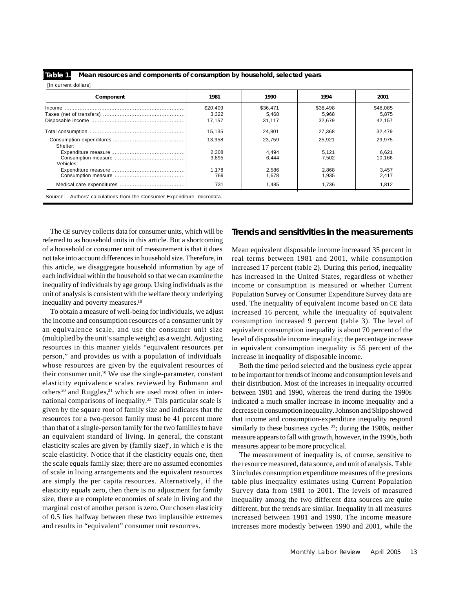**Table 1.**

### **Mean resources and components of consumption by household, selected years**

| Component | 1981     | 1990     | 1994     | 2001     |
|-----------|----------|----------|----------|----------|
|           | \$20,409 | \$36,471 | \$38,498 | \$48,085 |
|           | 3.322    | 5.468    | 5.968    | 5,875    |
|           | 17.157   | 31.117   | 32.679   | 42.157   |
|           | 15.135   | 24,801   | 27.368   | 32.479   |
|           | 13.958   | 23.759   | 25.921   | 29.975   |
| Shelter:  |          |          |          |          |
|           | 2,308    | 4,494    | 5,121    | 6,621    |
|           | 3,895    | 6.444    | 7.502    | 10.166   |
| Vehicles: |          |          |          |          |
|           | 1.178    | 2.586    | 2,868    | 3,457    |
|           | 769      | 1.678    | 1.935    | 2,417    |
|           | 731      | 1,485    | 1.736    | 1,812    |

The CE survey collects data for consumer units, which will be referred to as household units in this article. But a shortcoming of a household or consumer unit of measurement is that it does not take into account differences in household size. Therefore, in this article, we disaggregate household information by age of each individual within the household so that we can examine the inequality of individuals by age group. Using individuals as the unit of analysis is consistent with the welfare theory underlying inequality and poverty measures.<sup>18</sup>

To obtain a measure of well-being for individuals, we adjust the income and consumption resources of a consumer unit by an equivalence scale, and use the consumer unit size (multiplied by the unit's sample weight) as a weight. Adjusting resources in this manner yields "equivalent resources per person," and provides us with a population of individuals whose resources are given by the equivalent resources of their consumer unit.19 We use the single-parameter, constant elasticity equivalence scales reviewed by Buhmann and others<sup>20</sup> and Ruggles,<sup>21</sup> which are used most often in international comparisons of inequality.22 This particular scale is given by the square root of family size and indicates that the resources for a two-person family must be 41 percent more than that of a single-person family for the two families to have an equivalent standard of living. In general, the constant elasticity scales are given by (family size)*<sup>e</sup>* , in which *e* is the scale elasticity. Notice that if the elasticity equals one, then the scale equals family size; there are no assumed economies of scale in living arrangements and the equivalent resources are simply the per capita resources. Alternatively, if the elasticity equals zero, then there is no adjustment for family size, there are complete economies of scale in living and the marginal cost of another person is zero. Our chosen elasticity of 0.5 lies halfway between these two implausible extremes and results in "equivalent" consumer unit resources.

### **Trends and sensitivities in the measurements**

Mean equivalent disposable income increased 35 percent in real terms between 1981 and 2001, while consumption increased 17 percent (table 2). During this period, inequality has increased in the United States, regardless of whether income or consumption is measured or whether Current Population Survey or Consumer Expenditure Survey data are used. The inequality of equivalent income based on CE data increased 16 percent, while the inequality of equivalent consumption increased 9 percent (table 3). The level of equivalent consumption inequality is about 70 percent of the level of disposable income inequality; the percentage increase in equivalent consumption inequality is 55 percent of the increase in inequality of disposable income.

Both the time period selected and the business cycle appear to be important for trends of income and consumption levels and their distribution. Most of the increases in inequality occurred between 1981 and 1990, whereas the trend during the 1990s indicated a much smaller increase in income inequality and a decrease in consumption inequality. Johnson and Shipp showed that income and consumption-expenditure inequality respond similarly to these business cycles  $23$ ; during the 1980s, neither measure appears to fall with growth, however, in the 1990s, both measures appear to be more procyclical.

The measurement of inequality is, of course, sensitive to the resource measured, data source, and unit of analysis. Table 3 includes consumption expenditure measures of the previous table plus inequality estimates using Current Population Survey data from 1981 to 2001. The levels of measured inequality among the two different data sources are quite different, but the trends are similar. Inequality in all measures increased between 1981 and 1990. The income measure increases more modestly between 1990 and 2001, while the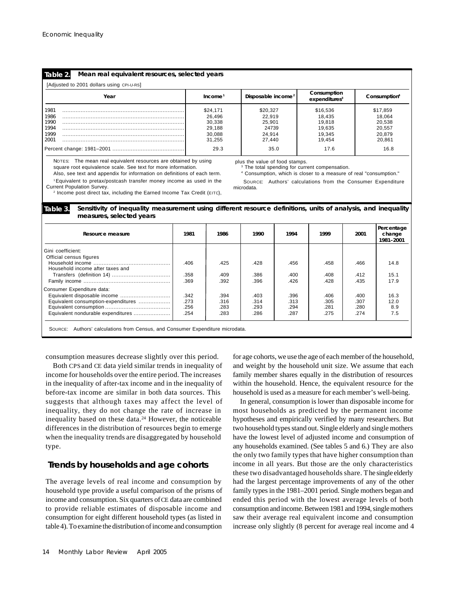| [Adjusted to 2001 dollars using CPI-U-RS] |                     |                                |                                          |                          |  |  |  |  |  |  |
|-------------------------------------------|---------------------|--------------------------------|------------------------------------------|--------------------------|--|--|--|--|--|--|
| Year                                      | Income <sup>1</sup> | Disposable income <sup>2</sup> | Consumption<br>expenditures <sup>3</sup> | Consumption <sup>4</sup> |  |  |  |  |  |  |
| 1981                                      | \$24.171            | \$20.327                       | \$16,536                                 | \$17,859                 |  |  |  |  |  |  |
| 1986                                      | 26,496              | 22.919                         | 18.435                                   | 18.064                   |  |  |  |  |  |  |
| 1990                                      | 30.338              | 25.901                         | 19.818                                   | 20,538                   |  |  |  |  |  |  |
| 1994                                      | 29.188              | 24739                          | 19,635                                   | 20,557                   |  |  |  |  |  |  |
| 1999                                      | 30.088              | 24.914                         | 19.345                                   | 20,879                   |  |  |  |  |  |  |
| 2001                                      | 31.255              | 27.440                         | 19.454                                   | 20.861                   |  |  |  |  |  |  |
|                                           | 29.3                | 35.0                           | 17.6                                     | 16.8                     |  |  |  |  |  |  |

NOTES: The mean real equivalent resources are obtained by using square root equivalence scale. See text for more information. Also, see text and appendix for information on definitions of each term. plus the value of food stamps.

<sup>3</sup> The total spending for current compensation. 4 Consumption, which is closer to a measure of real "consumption."

 SOURCE: Authors' calculations from the Consumer Expenditure microdata.

<sup>1</sup>Equivalent to pretax/postcash transfer money income as used in the Current Population Survey. 2 Income post direct tax, including the Earned Income Tax Credit (EITC),

#### **Table 3. Sensitivity of inequality measurement using different resource definitions, units of analysis, and inequality measures, selected years**

| Resource measure                    | 1981 | 1986 | 1990 | 1994 | 1999 | 2001 | Percentage<br>change<br>1981-2001 |
|-------------------------------------|------|------|------|------|------|------|-----------------------------------|
| Gini coefficient:                   |      |      |      |      |      |      |                                   |
| Official census figures             |      |      |      |      |      |      |                                   |
| Household income after taxes and    | .406 | .425 | .428 | .456 | .458 | .466 | 14.8                              |
|                                     | .358 | .409 | .386 | .400 | .408 | .412 | 15.1                              |
|                                     | .369 | .392 | .396 | .426 | .428 | .435 | 17.9                              |
| Consumer Expenditure data:          |      |      |      |      |      |      |                                   |
|                                     | .342 | .394 | .403 | .396 | .406 | .400 | 16.3                              |
| Equivalent consumption-expenditures | .273 | .316 | .314 | .313 | .305 | .307 | 12.0                              |
|                                     | .256 | .283 | .293 | .294 | .281 | .280 | 8.9                               |
| Equivalent nondurable expenditures  | .254 | .283 | .286 | .287 | .275 | .274 | 7.5                               |

consumption measures decrease slightly over this period.

Both CPSand CE data yield similar trends in inequality of income for households over the entire period. The increases in the inequality of after-tax income and in the inequality of before-tax income are similar in both data sources. This suggests that although taxes may affect the level of inequality, they do not change the rate of increase in inequality based on these data.24 However, the noticeable differences in the distribution of resources begin to emerge when the inequality trends are disaggregated by household type.

## **Trends by households and age cohorts**

The average levels of real income and consumption by household type provide a useful comparison of the prisms of income and consumption. Six quarters of CE data are combined to provide reliable estimates of disposable income and consumption for eight different household types (as listed in table 4). To examine the distribution of income and consumption

for age cohorts, we use the age of each member of the household, and weight by the household unit size. We assume that each family member shares equally in the distribution of resources within the household. Hence, the equivalent resource for the household is used as a measure for each member's well-being.

In general, consumption is lower than disposable income for most households as predicted by the permanent income hypotheses and empirically verified by many researchers. But two household types stand out. Single elderly and single mothers have the lowest level of adjusted income and consumption of any households examined. (See tables 5 and 6.) They are also the only two family types that have higher consumption than income in all years. But those are the only characteristics these two disadvantaged households share. The single elderly had the largest percentage improvements of any of the other family types in the 1981–2001 period. Single mothers began and ended this period with the lowest average levels of both consumption and income. Between 1981 and 1994, single mothers saw their average real equivalent income and consumption increase only slightly (8 percent for average real income and 4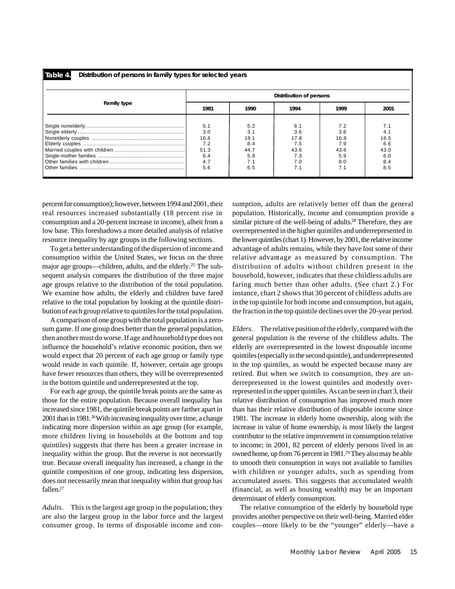**Table 4.**

**Distribution of persons in family types for selected years**

|                    | <b>Distribution of persons</b> |             |             |             |             |  |  |  |  |
|--------------------|--------------------------------|-------------|-------------|-------------|-------------|--|--|--|--|
| <b>Family type</b> | 1981                           | 1990        | 1994        | 1999        | 2001        |  |  |  |  |
|                    | 5.1                            | 5.2         | 6.1         | 7.2         | 7.1         |  |  |  |  |
|                    | 3.0<br>16.6                    | 3.1<br>19.1 | 3.6<br>17.8 | 3.6<br>16.8 | 4.1<br>16.5 |  |  |  |  |
|                    | 7.2                            | 8.4         | 7.5         | 7.9         | 6.6         |  |  |  |  |
|                    | 51.3                           | 44.7        | 43.6        | 43.6        | 43.0        |  |  |  |  |
|                    | 6.4                            | 5.9         | 7.3         | 5.9         | 6.0         |  |  |  |  |
|                    | 4.7                            | 7.1         | 7.0         | 8.0         | 8.4         |  |  |  |  |
|                    | 5.6                            | 6.5         | 7.1         | 7.1         | 8.5         |  |  |  |  |

percent for consumption); however, between 1994 and 2001, their real resources increased substantially (18 percent rise in consumption and a 20-percent increase in income), albeit from a low base. This foreshadows a more detailed analysis of relative resource inequality by age groups in the following sections.

To get a better understanding of the dispersion of income and consumption within the United States, we focus on the three major age groups—children, adults, and the elderly.<sup>25</sup> The subsequent analysis compares the distribution of the three major age groups relative to the distribution of the total population. We examine how adults, the elderly and children have fared relative to the total population by looking at the quintile distribution of each group relative to quintiles for the total population.

A comparison of one group with the total population is a zerosum game. If one group does better than the general population, then another must do worse. If age and household type does not influence the household's relative economic position, then we would expect that 20 percent of each age group or family type would reside in each quintile. If, however, certain age groups have fewer resources than others, they will be overrepresented in the bottom quintile and underrepresented at the top.

For each age group, the quintile break points are the same as those for the entire population. Because overall inequality has increased since 1981, the quintile break points are farther apart in 2001 than in 1981.<sup>26</sup> With increasing inequality over time, a change indicating more dispersion within an age group (for example, more children living in households at the bottom and top quintiles) suggests that there has been a greater increase in inequality within the group. But the reverse is not necessarily true. Because overall inequality has increased, a change in the quintile composition of one group, indicating less dispersion, does not necessarily mean that inequality within that group has fallen.<sup>27</sup>

*Adults*. This is the largest age group in the population; they are also the largest group in the labor force and the largest consumer group. In terms of disposable income and consumption, adults are relatively better off than the general population. Historically, income and consumption provide a similar picture of the well-being of adults.<sup>28</sup> Therefore, they are overrepresented in the higher quintiles and underrepresented in the lower quintiles (chart 1). However, by 2001, the relative income advantage of adults remains, while they have lost some of their relative advantage as measured by consumption. The distribution of adults without children present in the household, however, indicates that these childless adults are faring much better than other adults. (See chart 2.) For instance, chart 2 shows that 30 percent of childless adults are in the top quintile for both income and consumption, but again, the fraction in the top quintile declines over the 20-year period.

*Elders*. The relative position of the elderly, compared with the general population is the reverse of the childless adults. The elderly are overrepresented in the lowest disposable income quintiles (especially in the second quintile), and underrepresented in the top quintiles, as would be expected because many are retired. But when we switch to consumption, they are underrepresented in the lowest quintiles and modestly overrepresented in the upper quintiles. As can be seen in chart 3, their relative distribution of consumption has improved much more than has their relative distribution of disposable income since 1981. The increase in elderly home ownership, along with the increase in value of home ownership, is most likely the largest contributor to the relative improvement in consumption relative to income; in 2001, 82 percent of elderly persons lived in an owned home, up from 76 percent in 1981.<sup>29</sup> They also may be able to smooth their consumption in ways not available to families with children or younger adults, such as spending from accumulated assets. This suggests that accumulated wealth (financial, as well as housing wealth) may be an important determinant of elderly consumption.

The relative consumption of the elderly by household type provides another perspective on their well-being. Married elder couples—more likely to be the "younger" elderly—have a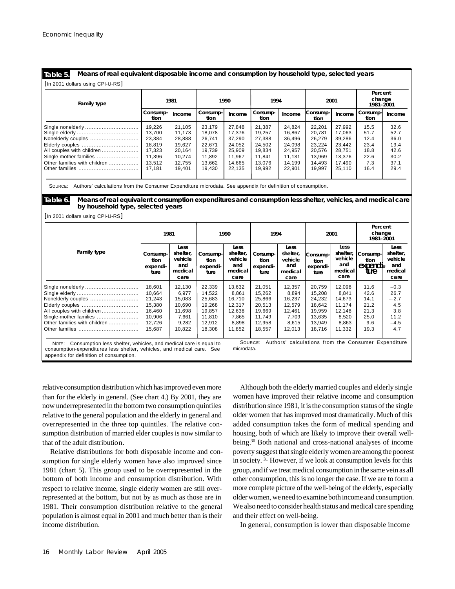#### **Means of real equivalent disposable income and consumption by household type, selected years Table 5.**

[In 2001 dollars using CPI-U-RS]

| <b>Family type</b>                                                              |                                                                    | 1981                                                               | 1990                                                               |                                                                    | 1994                                                               |                                                                    | 2001                                                               |                                                                    | Percent<br>change<br>1981-2001                      |                                                      |
|---------------------------------------------------------------------------------|--------------------------------------------------------------------|--------------------------------------------------------------------|--------------------------------------------------------------------|--------------------------------------------------------------------|--------------------------------------------------------------------|--------------------------------------------------------------------|--------------------------------------------------------------------|--------------------------------------------------------------------|-----------------------------------------------------|------------------------------------------------------|
|                                                                                 | Consump-<br>tion                                                   | Income                                                             | Consump-<br>tion                                                   | Income                                                             | Consump-<br>tion                                                   | Income                                                             | Consump-<br>tion                                                   | Income                                                             | Consump-<br>tion                                    | Income                                               |
| Nonelderly couples<br>All couples with children<br>Other families with children | 19,226<br>13.700<br>23.384<br>18.819<br>17.323<br>11.396<br>13.512 | 21.105<br>11.173<br>28,888<br>19.627<br>20,164<br>10.274<br>12.755 | 23.179<br>18.078<br>26.741<br>22.671<br>19.739<br>11.892<br>13.662 | 27,848<br>17.376<br>37.290<br>24.052<br>25,909<br>11.967<br>14.665 | 21,387<br>19.257<br>27.388<br>24.502<br>19,834<br>11.841<br>13.076 | 24.824<br>16.867<br>36,496<br>24.098<br>24,957<br>11.131<br>14.199 | 22.201<br>20.781<br>26.279<br>23.224<br>20.576<br>13.969<br>14.493 | 27.992<br>17.063<br>39.286<br>23.442<br>28.751<br>13.376<br>17.490 | 15.5<br>51.7<br>12.4<br>23.4<br>18.8<br>22.6<br>7.3 | 32.6<br>52.7<br>36.0<br>19.4<br>42.6<br>30.2<br>37.1 |

SOURCE: Authors' calculations from the Consumer Expenditure microdata. See appendix for definition of consumption.

**Table 6.**

**Means of real equivalent consumption expenditures and consumption less shelter, vehicles, and medical care by household type, selected years**

[In 2001 dollars using CPI-U-RS]

|                                                                                                                                                    | 1981                                 |                                                       |                                      | 1990                                                  | 1994                                 |                                                       | 2001                                 |                                                       | Percent<br>change<br>1981–2001             |                                                       |
|----------------------------------------------------------------------------------------------------------------------------------------------------|--------------------------------------|-------------------------------------------------------|--------------------------------------|-------------------------------------------------------|--------------------------------------|-------------------------------------------------------|--------------------------------------|-------------------------------------------------------|--------------------------------------------|-------------------------------------------------------|
| <b>Family type</b>                                                                                                                                 | Consump-<br>tion<br>expendi-<br>ture | Less<br>shelter,<br>vehicle<br>and<br>medical<br>care | Consump-<br>tion<br>expendi-<br>ture | Less<br>shelter,<br>vehicle<br>and<br>medical<br>care | Consump-<br>tion<br>expendi-<br>ture | Less<br>shelter,<br>vehicle<br>and<br>medical<br>care | Consump-<br>tion<br>expendi-<br>ture | Less<br>shelter,<br>vehicle<br>and<br>medical<br>care | Consump-<br>tion<br>excendi-<br>tю         | Less<br>shelter,<br>vehicle<br>and<br>medical<br>care |
|                                                                                                                                                    | 18,601                               | 12,130                                                | 22,339                               | 13,632                                                | 21.051                               | 12,357                                                | 20.759                               | 12,098                                                | 11.6                                       | $-0.3$                                                |
|                                                                                                                                                    | 10.664                               | 6,977                                                 | 14.522                               | 8.861                                                 | 15.262                               | 8.894                                                 | 15.208                               | 8.841                                                 | 42.6                                       | 26.7                                                  |
| Nonelderly couples                                                                                                                                 | 21,243                               | 15,083                                                | 25.683                               | 16.710                                                | 25,866                               | 16,237                                                | 24.232                               | 14.673                                                | 14.1                                       | $-2.7$                                                |
|                                                                                                                                                    | 15,380                               | 10,690                                                | 19,268                               | 12,317                                                | 20,513                               | 12,579                                                | 18.642                               | 11.174                                                | 21.2                                       | 4.5                                                   |
| All couples with children                                                                                                                          | 16.460                               | 11.698                                                | 19.857                               | 12.638                                                | 19.669                               | 12.461                                                | 19.959                               | 12.148                                                | 21.3                                       | 3.8                                                   |
| Single-mother families                                                                                                                             | 10,906                               | 7,661                                                 | 11.810                               | 7,865                                                 | 11,749                               | 7,709                                                 | 13,635                               | 8,520                                                 | 25.0                                       | 11.2                                                  |
| Other families with children                                                                                                                       | 12,726                               | 9,282                                                 | 12.912                               | 8,898                                                 | 12,958                               | 8,615                                                 | 13,949                               | 8,863                                                 | 9.6                                        | $-4.5$                                                |
|                                                                                                                                                    | 15,687                               | 10,822                                                | 18,308                               | 11,852                                                | 18,557                               | 12,013                                                | 18,716                               | 11,332                                                | 19.3                                       | 4.7                                                   |
| Consumption less shelter, vehicles, and medical care is equal to<br>NOTE:<br>concumption expenditures less shelter vehicles, and medical care. See |                                      |                                                       |                                      | SOURCE:<br>microdata                                  | Authors'                             |                                                       |                                      |                                                       | calculations from the Consumer Expenditure |                                                       |

consumption-expenditures less shelter, vehicles, and medical care. See appendix for definition of consumption.

microdata.

relative consumption distribution which has improved even more than for the elderly in general. (See chart 4.) By 2001, they are now underrepresented in the bottom two consumption quintiles relative to the general population and the elderly in general and overrepresented in the three top quintiles. The relative consumption distribution of married elder couples is now similar to that of the adult distribution.

Relative distributions for both disposable income and consumption for single elderly women have also improved since 1981 (chart 5). This group used to be overrepresented in the bottom of both income and consumption distribution. With respect to relative income, single elderly women are still overrepresented at the bottom, but not by as much as those are in 1981. Their consumption distribution relative to the general population is almost equal in 2001 and much better than is their income distribution.

Although both the elderly married couples and elderly single women have improved their relative income and consumption distribution since 1981, it is the consumption status of the single older women that has improved most dramatically. Much of this added consumption takes the form of medical spending and housing, both of which are likely to improve their overall wellbeing.30 Both national and cross-national analyses of income poverty suggest that single elderly women are among the poorest in society. 31 However, if we look at consumption levels for this group, and if we treat medical consumption in the same vein as all other consumption, this is no longer the case. If we are to form a more complete picture of the well-being of the elderly, especially older women, we need to examine both income and consumption. We also need to consider health status and medical care spending and their effect on well-being.

In general, consumption is lower than disposable income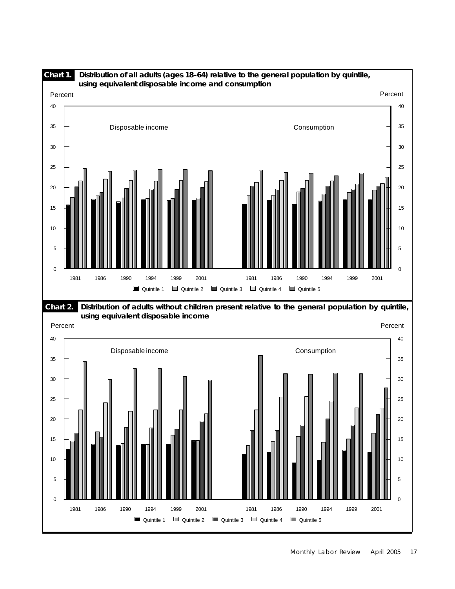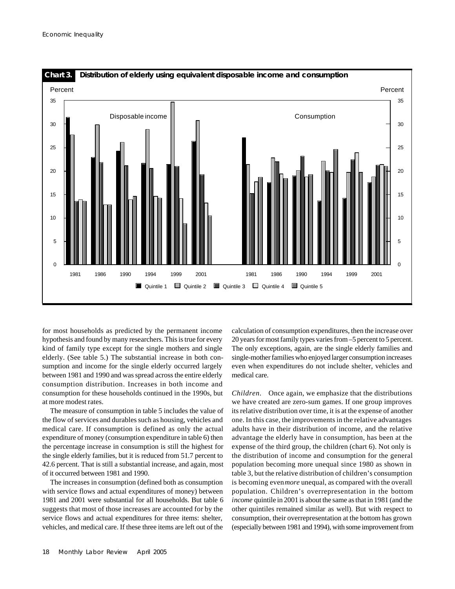

for most households as predicted by the permanent income hypothesis and found by many researchers. This is true for every kind of family type except for the single mothers and single elderly. (See table 5.) The substantial increase in both consumption and income for the single elderly occurred largely between 1981 and 1990 and was spread across the entire elderly consumption distribution. Increases in both income and consumption for these households continued in the 1990s, but at more modest rates.

The measure of consumption in table 5 includes the value of the flow of services and durables such as housing, vehicles and medical care. If consumption is defined as only the actual expenditure of money (consumption expenditure in table 6) then the percentage increase in consumption is still the highest for the single elderly families, but it is reduced from 51.7 percent to 42.6 percent. That is still a substantial increase, and again, most of it occurred between 1981 and 1990.

The increases in consumption (defined both as consumption with service flows and actual expenditures of money) between 1981 and 2001 were substantial for all households. But table 6 suggests that most of those increases are accounted for by the service flows and actual expenditures for three items: shelter, vehicles, and medical care. If these three items are left out of the

calculation of consumption expenditures, then the increase over 20 years for most family types varies from –5 percent to 5 percent. The only exceptions, again, are the single elderly families and single-mother families who enjoyed larger consumption increases even when expenditures do not include shelter, vehicles and medical care.

*Children*. Once again, we emphasize that the distributions we have created are zero-sum games. If one group improves its relative distribution over time, it is at the expense of another one. In this case, the improvements in the relative advantages adults have in their distribution of income, and the relative advantage the elderly have in consumption, has been at the expense of the third group, the children (chart 6). Not only is the distribution of income and consumption for the general population becoming more unequal since 1980 as shown in table 3, but the relative distribution of children's consumption is becoming even *more* unequal, as compared with the overall population. Children's overrepresentation in the bottom *income* quintile in 2001 is about the same as that in 1981 (and the other quintiles remained similar as well). But with respect to consumption, their overrepresentation at the bottom has grown (especially between 1981 and 1994), with some improvement from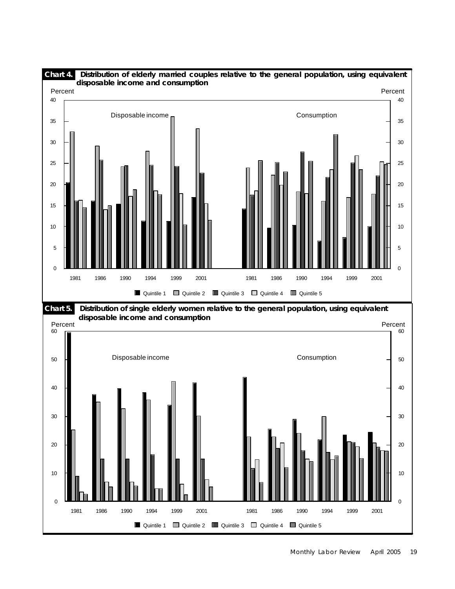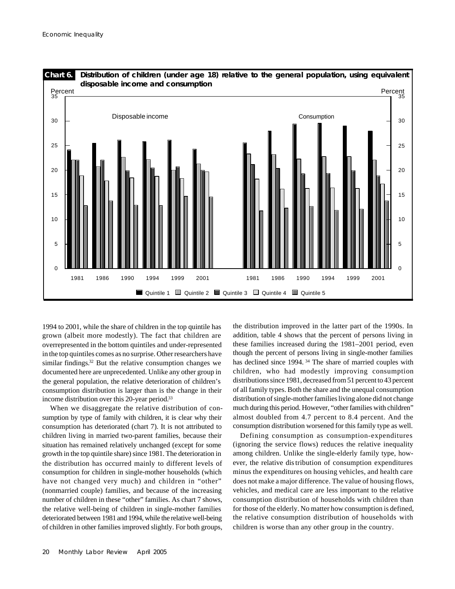

1994 to 2001, while the share of children in the top quintile has grown (albeit more modestly). The fact that children are overrepresented in the bottom quintiles and under-represented in the top quintiles comes as no surprise. Other researchers have similar findings.<sup>32</sup> But the relative consumption changes we documented here are unprecedented. Unlike any other group in the general population, the relative deterioration of children's consumption distribution is larger than is the change in their income distribution over this 20-year period.<sup>33</sup>

When we disaggregate the relative distribution of consumption by type of family with children, it is clear why their consumption has deteriorated (chart 7). It is not attributed to children living in married two-parent families, because their situation has remained relatively unchanged (except for some growth in the top quintile share) since 1981. The deterioration in the distribution has occurred mainly to different levels of consumption for children in single-mother households (which have not changed very much) and children in "other" (nonmarried couple) families, and because of the increasing number of children in these "other" families. As chart 7 shows, the relative well-being of children in single-mother families deteriorated between 1981 and 1994, while the relative well-being of children in other families improved slightly. For both groups,

the distribution improved in the latter part of the 1990s. In addition, table 4 shows that the percent of persons living in these families increased during the 1981–2001 period, even though the percent of persons living in single-mother families has declined since 1994.<sup>34</sup> The share of married couples with children, who had modestly improving consumption distributions since 1981, decreased from 51 percent to 43 percent of all family types. Both the share and the unequal consumption distribution of single-mother families living alone did not change much during this period. However, "other families with children" almost doubled from 4.7 percent to 8.4 percent. And the consumption distribution worsened for this family type as well.

Defining consumption as consumption-expenditures (ignoring the service flows) reduces the relative inequality among children. Unlike the single-elderly family type, however, the relative distribution of consumption expenditures minus the expenditures on housing vehicles, and health care does not make a major difference. The value of housing flows, vehicles, and medical care are less important to the relative consumption distribution of households with children than for those of the elderly. No matter how consumption is defined, the relative consumption distribution of households with children is worse than any other group in the country.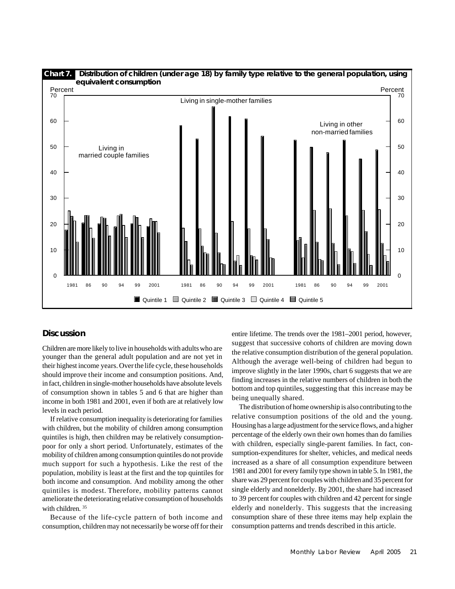

# **Discussion**

Children are more likely to live in households with adults who are younger than the general adult population and are not yet in their highest income years. Over the life cycle, these households should improve their income and consumption positions. And, in fact, children in single-mother households have absolute levels of consumption shown in tables 5 and 6 that are higher than income in both 1981 and 2001, even if both are at relatively low levels in each period.

If relative consumption inequality is deteriorating for families with children, but the mobility of children among consumption quintiles is high, then children may be relatively consumptionpoor for only a short period. Unfortunately, estimates of the mobility of children among consumption quintiles do not provide much support for such a hypothesis. Like the rest of the population, mobility is least at the first and the top quintiles for both income and consumption. And mobility among the other quintiles is modest. Therefore, mobility patterns cannot ameliorate the deteriorating relative consumption of households with children. 35

Because of the life-cycle pattern of both income and consumption, children may not necessarily be worse off for their

entire lifetime. The trends over the 1981–2001 period, however, suggest that successive cohorts of children are moving down the relative consumption distribution of the general population. Although the average well-being of children had begun to improve slightly in the later 1990s, chart 6 suggests that we are finding increases in the relative numbers of children in both the bottom and top quintiles, suggesting that this increase may be being unequally shared.

The distribution of home ownership is also contributing to the relative consumption positions of the old and the young. Housing has a large adjustment for the service flows, and a higher percentage of the elderly own their own homes than do families with children, especially single-parent families. In fact, consumption-expenditures for shelter, vehicles, and medical needs increased as a share of all consumption expenditure between 1981 and 2001 for every family type shown in table 5. In 1981, the share was 29 percent for couples with children and 35 percent for single elderly and nonelderly. By 2001, the share had increased to 39 percent for couples with children and 42 percent for single elderly and nonelderly. This suggests that the increasing consumption share of these three items may help explain the consumption patterns and trends described in this article.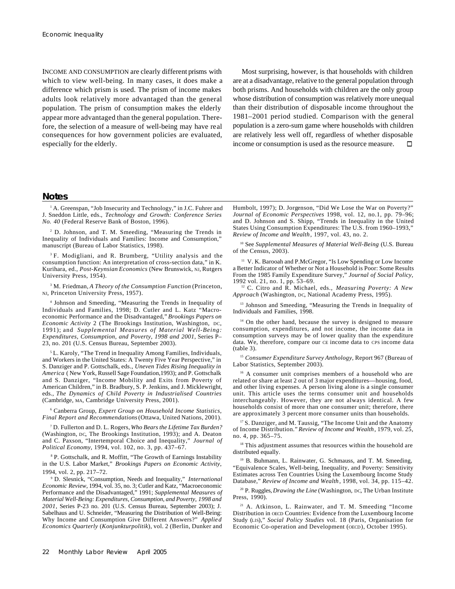INCOME AND CONSUMPTION are clearly different prisms with which to view well-being. In many cases, it does make a difference which prism is used. The prism of income makes adults look relatively more advantaged than the general population. The prism of consumption makes the elderly appear more advantaged than the general population. Therefore, the selection of a measure of well-being may have real consequences for how government policies are evaluated, especially for the elderly.

Most surprising, however, is that households with children are at a disadvantage, relative to the general population through both prisms. And households with children are the only group whose distribution of consumption was relatively more unequal than their distribution of disposable income throughout the 1981–2001 period studied. Comparison with the general population is a zero-sum game where households with children are relatively less well off, regardless of whether disposable income or consumption is used as the resource measure. □

### **Notes**

1 A. Greenspan, "Job Insecurity and Technology," in J.C. Fuhrer and J. Sneddon Little, eds., *Technology and Growth: Conference Series No. 40* (Federal Reserve Bank of Boston, 1996).

2 D. Johnson, and T. M. Smeeding, "Measuring the Trends in Inequality of Individuals and Families: Income and Consumption," manuscript (Bureau of Labor Statistics, 1998).

<sup>3</sup>F. Modigliani, and R. Brumberg, "Utility analysis and the consumption function: An interpretation of cross-section data," in K. Kurihara, ed., *Post-Keynsian Economics* (New Brunswick, NJ, Rutgers University Press, 1954).

3 M. Friedman, *A Theory of the Consumption Function* (Princeton, NJ, Princeton University Press, 1957).

4 Johnson and Smeeding, "Measuring the Trends in Inequality of Individuals and Families, 1998; D. Cutler and L. Katz "Macroeconomic Performance and the Disadvantaged," *Brookings Papers on Economic Activity* 2 (The Brookings Institution, Washington, DC, 1991); and *Supplemental Measures of Material Well-Being: Expenditures, Consumption, and Poverty, 1998 and 2001*, Series P– 23, no. 201 (U.S. Census Bureau, September 2003).

<sup>5</sup>L. Karoly, "The Trend in Inequality Among Families, Individuals, and Workers in the United States: A Twenty Five Year Perspective," in S. Danziger and P. Gottschalk, eds., *Uneven Tides Rising Inequality in America* ( New York, Russell Sage Foundation,1993); and P. Gottschalk and S. Danziger, "Income Mobility and Exits from Poverty of American Children," in B. Bradbury, S. P. Jenkins, and J. Micklewright, eds., *The Dynamics of Child Poverty in Industrialised Countries* (Cambridge, MA, Cambridge University Press, 2001).

6 Canberra Group, *Expert Group on Household Income Statistics, Final Report and Recommendations* (Ottawa, United Nations, 2001).

7 D. Fullerton and D. L. Rogers, *Who Bears the Lifetime Tax Burden?* (Washington, DC, The Brookings Institution, 1993); and A. Deaton and C. Paxson, "Intertemporal Choice and Inequality," *Journal of Political Economy,* 1994, vol. 102, no. 3, pp. 437–67.

<sup>8</sup> P. Gottschalk, and R. Moffitt, "The Growth of Earnings Instability in the U.S. Labor Market," *Brookings Papers on Economic Activity*, 1994, vol. 2, pp. 217–72.

9 D. Slesnick, "Consumption, Needs and Inequality," *International Economic Review*, 1994, vol. 35, no. 3; Cutler and Katz, "Macroeconomic Performance and the Disadvantaged," 1991; *Supplemental Measures of Material Well-Being: Expenditures, Consumption, and Poverty, 1998 and 2001*, Series P-23 no. 201 (U.S. Census Bureau, September 2003); J. Sabelhaus and U. Schneider, "Measuring the Distribution of Well-Being: Why Income and Consumption Give Different Answers?" *Applied Economics Quarterly* (*Konjunkturpolitik*), vol. 2 (Berlin, Dunker and

Humbolt, 1997); D. Jorgenson, "Did We Lose the War on Poverty?" *Journal of Economic Perspectives* 1998, vol. 12, no.1, pp. 79–96; and D. Johnson and S. Shipp, "Trends in Inequality in the United States Using Consumption Expenditures: The U.S. from 1960–1993," *Review of Income and Wealth*, 1997, vol. 43, no. 2.

<sup>10</sup> See *Supplemental Measures of Material Well-Being* (U.S. Bureau of the Census, 2003).

<sup>11</sup> V. K. Barooah and P.McGregor, "Is Low Spending or Low Income a Better Indicator of Whether or Not a Household is Poor: Some Results From the 1985 Family Expenditure Survey," *Journal of Social Policy*, 1992 vol. 21, no. 1, pp. 53–69.

<sup>12</sup> C. Citro and R. Michael, eds., *Measuring Poverty: A New Approach* (Washington, DC, National Academy Press, 1995).

<sup>13</sup> Johnson and Smeeding, "Measuring the Trends in Inequality of Individuals and Families, 1998.

<sup>14</sup> On the other hand, because the survey is designed to measure consumption, expenditures, and not income, the income data in consumption surveys may be of lower quality than the expenditure data. We, therefore, compare our CE income data to CPS income data (table 3).

<sup>15</sup> *Consumer Expenditure Survey Anthology*, Report 967 (Bureau of Labor Statistics, September 2003).

<sup>16</sup> A consumer unit comprises members of a household who are related or share at least 2 out of 3 major expenditures—housing, food, and other living expenses. A person living alone is a single consumer unit. This article uses the terms consumer unit and households interchangeably. However, they are not always identical. A few households consist of more than one consumer unit; therefore, there are approximately 3 percent more consumer units than households.

<sup>17</sup> S. Danziger, and M. Taussig, "The Income Unit and the Anatomy of Income Distribution." *Review of Income and Wealth*, 1979, vol. 25, no. 4, pp. 365–75.

<sup>18</sup> This adjustment assumes that resources within the household are distributed equally.

<sup>19</sup> B. Buhmann, L. Rainwater, G. Schmauss, and T. M. Smeeding, "Equivalence Scales, Well-being, Inequality, and Poverty: Sensitivity Estimates across Ten Countries Using the Luxembourg Income Study Database," *Review of Income and Wealth*, 1998, vol. 34, pp. 115–42.

<sup>20</sup> P. Ruggles, *Drawing the Line* (Washington, DC, The Urban Institute Press, 1990).

<sup>21</sup> A. Atkinson, L. Rainwater, and T. M. Smeeding "Income Distribution in OECD Countries: Evidence from the Luxembourg Income Study (LIS)," *Social Policy Studies* vol. 18 (Paris, Organisation for Economic Co-operation and Development (OECD), October 1995).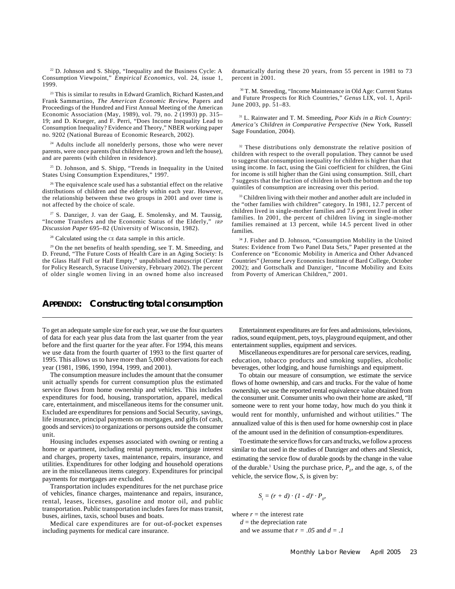$22$  D. Johnson and S. Shipp, "Inequality and the Business Cycle: A Consumption Viewpoint," *Empirical Economics*, vol. 24, issue 1, 1999.

<sup>23</sup> This is similar to results in Edward Gramlich, Richard Kasten, and Frank Sammartino, *The American Economic Review*, Papers and Proceedings of the Hundred and First Annual Meeting of the American Economic Association (May, 1989), vol. 79, no. 2 (1993) pp. 315– 19; and D. Krueger, and F. Perri, "Does Income Inequality Lead to Consumption Inequality? Evidence and Theory," NBER working paper no. 9202 (National Bureau of Economic Research, 2002).

<sup>24</sup> Adults include all nonelderly persons, those who were never parents, were once parents (but children have grown and left the house), and are parents (with children in residence).

<sup>25</sup> D. Johnson, and S. Shipp, "Trends in Inequality in the United States Using Consumption Expenditures," 1997.

<sup>26</sup> The equivalence scale used has a substantial effect on the relative distributions of children and the elderly within each year. However, the relationship between these two groups in 2001 and over time is not affected by the choice of scale.

<sup>27</sup> S. Danziger, J. van der Gaag, E. Smolensky, and M. Taussig, "Income Transfers and the Economic Status of the Elderly," *IRP Discussion Paper* 695–82 (University of Wisconsin, 1982).

<sup>28</sup> Calculated using the CE data sample in this article.

<sup>29</sup> On the net benefits of health spending, see T. M. Smeeding, and D. Freund, "The Future Costs of Health Care in an Aging Society: Is the Glass Half Full or Half Empty," unpublished manuscript (Center for Policy Research, Syracuse University, February 2002). The percent of older single women living in an owned home also increased

## **APPENDIX: Constructing total consumption**

To get an adequate sample size for each year, we use the four quarters of data for each year plus data from the last quarter from the year before and the first quarter for the year after. For 1994, this means we use data from the fourth quarter of 1993 to the first quarter of 1995. This allows us to have more than 5,000 observations for each year (1981, 1986, 1990, 1994, 1999, and 2001).

The consumption measure includes the amount that the consumer unit actually spends for current consumption plus the estimated service flows from home ownership and vehicles. This includes expenditures for food, housing, transportation, apparel, medical care, entertainment, and miscellaneous items for the consumer unit. Excluded are expenditures for pensions and Social Security, savings, life insurance, principal payments on mortgages, and gifts (of cash, goods and services) to organizations or persons outside the consumer unit.

Housing includes expenses associated with owning or renting a home or apartment, including rental payments, mortgage interest and charges, property taxes, maintenance, repairs, insurance, and utilities. Expenditures for other lodging and household operations are in the miscellaneous items category. Expenditures for principal payments for mortgages are excluded.

Transportation includes expenditures for the net purchase price of vehicles, finance charges, maintenance and repairs, insurance, rental, leases, licenses, gasoline and motor oil, and public transportation. Public transportation includes fares for mass transit, buses, airlines, taxis, school buses and boats.

Medical care expenditures are for out-of-pocket expenses including payments for medical care insurance.

dramatically during these 20 years, from 55 percent in 1981 to 73 percent in 2001.

<sup>30</sup> T. M. Smeeding, "Income Maintenance in Old Age: Current Status and Future Prospects for Rich Countries," *Genus* LIX, vol. 1, April-June 2003, pp. 51–83.

<sup>31</sup> L. Rainwater and T. M. Smeeding, *Poor Kids in a Rich Country: America's Children in Comparative Perspective* (New York, Russell Sage Foundation, 2004).

 $32$  These distributions only demonstrate the relative position of children with respect to the overall population. They cannot be used to suggest that consumption inequality for children is higher than that using income. In fact, using the Gini coefficient for children, the Gini for income is still higher than the Gini using consumption. Still, chart 7 suggests that the fraction of children in both the bottom and the top quintiles of consumption are increasing over this period.

<sup>33</sup> Children living with their mother and another adult are included in the "other families with children" category. In 1981, 12.7 percent of children lived in single-mother families and 7.6 percent lived in other families. In 2001, the percent of children living in single-mother families remained at 13 percent, while 14.5 percent lived in other families.

<sup>34</sup> J. Fisher and D. Johnson, "Consumption Mobility in the United States: Evidence from Two Panel Data Sets," Paper presented at the Conference on "Economic Mobility in America and Other Advanced Countries" (Jerome Levy Economics Institute of Bard College, October 2002); and Gottschalk and Danziger, "Income Mobility and Exits from Poverty of American Children," 2001.

Entertainment expenditures are for fees and admissions, televisions, radios, sound equipment, pets, toys, playground equipment, and other entertainment supplies, equipment and services.

Miscellaneous expenditures are for personal care services, reading, education, tobacco products and smoking supplies, alcoholic beverages, other lodging, and house furnishings and equipment.

To obtain our measure of consumption, we estimate the service flows of home ownership, and cars and trucks. For the value of home ownership, we use the reported rental equivalence value obtained from the consumer unit. Consumer units who own their home are asked, "If someone were to rent your home today, how much do you think it would rent for monthly, unfurnished and without utilities." The annualized value of this is then used for home ownership cost in place of the amount used in the definition of consumption-expenditures.

To estimate the service flows for cars and trucks, we follow a process similar to that used in the studies of Danziger and others and Slesnick, estimating the service flow of durable goods by the change in the value of the durable.<sup>1</sup> Using the purchase price,  $P$ <sup>0</sup>, and the age, *s*, of the vehicle, the service flow, *S*, is given by:

$$
S_t = (r + d) \cdot (1 - d)^s \cdot P_o,
$$

where  $r =$  the interest rate

 $d =$  the depreciation rate and we assume that  $r = .05$  and  $d = .1$